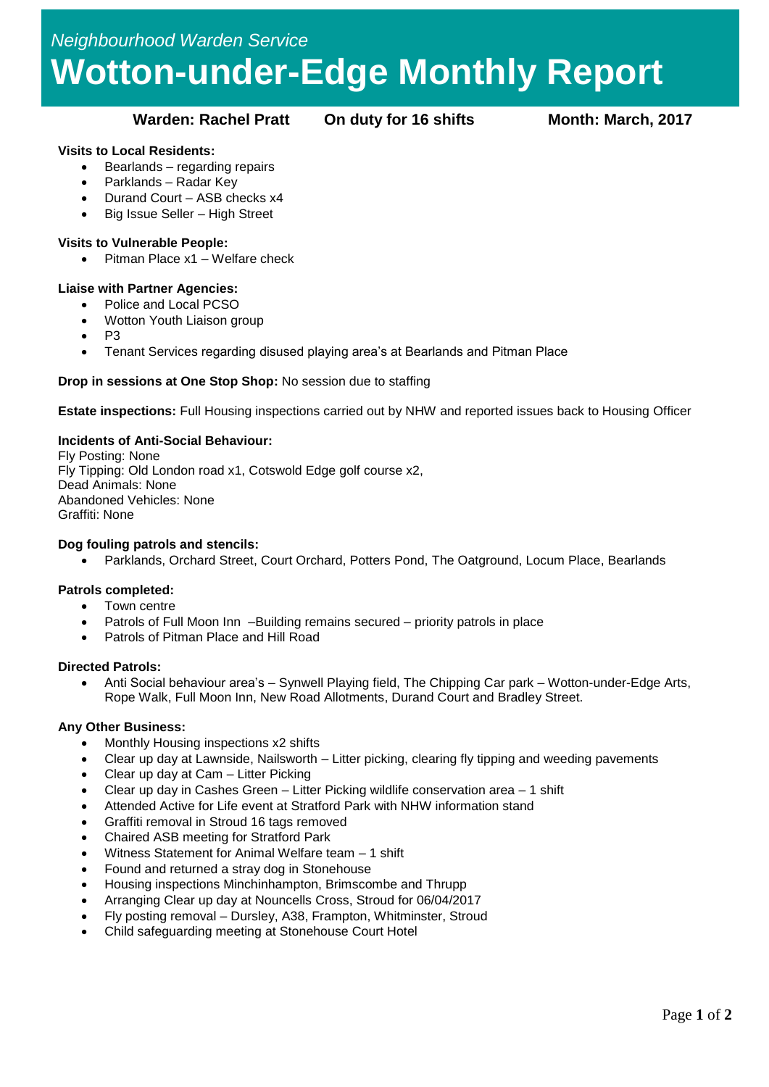# *Neighbourhood Warden Service* **Wotton-under-Edge Monthly Report**

### **Warden: Rachel Pratt On duty for 16 shifts Month: March, 2017**

#### **Visits to Local Residents:**

- $\bullet$  Bearlands regarding repairs
- Parklands Radar Key
- Durand Court ASB checks x4
- Big Issue Seller High Street

## **Visits to Vulnerable People:**

• Pitman Place x1 – Welfare check

#### **Liaise with Partner Agencies:**

- Police and Local PCSO
- Wotton Youth Liaison group
- $\bullet$  P<sub>3</sub>
- Tenant Services regarding disused playing area's at Bearlands and Pitman Place

#### **Drop in sessions at One Stop Shop:** No session due to staffing

**Estate inspections:** Full Housing inspections carried out by NHW and reported issues back to Housing Officer

#### **Incidents of Anti-Social Behaviour:**

Fly Posting: None Fly Tipping: Old London road x1, Cotswold Edge golf course x2, Dead Animals: None Abandoned Vehicles: None Graffiti: None

#### **Dog fouling patrols and stencils:**

Parklands, Orchard Street, Court Orchard, Potters Pond, The Oatground, Locum Place, Bearlands

#### **Patrols completed:**

- Town centre
- Patrols of Full Moon Inn –Building remains secured priority patrols in place
- Patrols of Pitman Place and Hill Road

#### **Directed Patrols:**

 Anti Social behaviour area's – Synwell Playing field, The Chipping Car park – Wotton-under-Edge Arts, Rope Walk, Full Moon Inn, New Road Allotments, Durand Court and Bradley Street.

#### **Any Other Business:**

- Monthly Housing inspections x2 shifts
- Clear up day at Lawnside, Nailsworth Litter picking, clearing fly tipping and weeding pavements
- Clear up day at Cam Litter Picking
- Clear up day in Cashes Green Litter Picking wildlife conservation area 1 shift
- Attended Active for Life event at Stratford Park with NHW information stand
- Graffiti removal in Stroud 16 tags removed
- Chaired ASB meeting for Stratford Park
- Witness Statement for Animal Welfare team 1 shift
- Found and returned a stray dog in Stonehouse
- Housing inspections Minchinhampton, Brimscombe and Thrupp
- Arranging Clear up day at Nouncells Cross, Stroud for 06/04/2017
- Fly posting removal Dursley, A38, Frampton, Whitminster, Stroud
- Child safeguarding meeting at Stonehouse Court Hotel